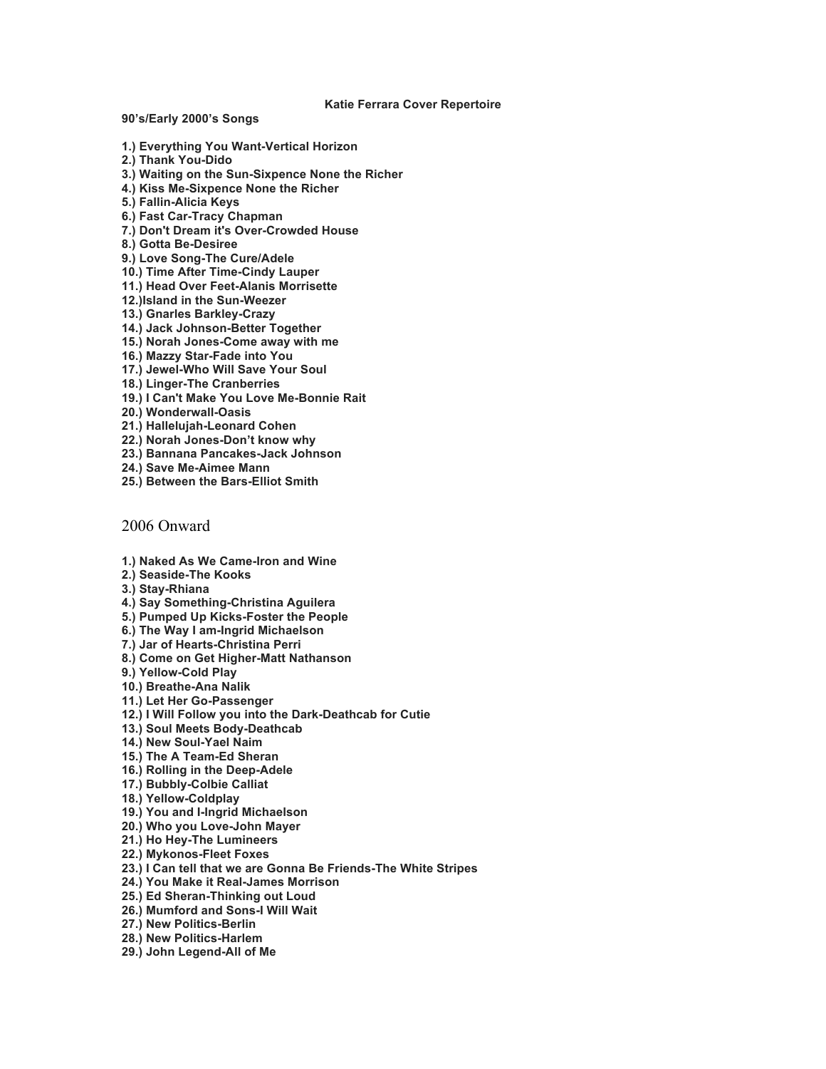**Katie Ferrara Cover Repertoire**

**90's/Early 2000's Songs**

- **1.) Everything You Want-Vertical Horizon**
- **2.) Thank You-Dido**
- **3.) Waiting on the Sun-Sixpence None the Richer**
- **4.) Kiss Me-Sixpence None the Richer**
- **5.) Fallin-Alicia Keys**
- **6.) Fast Car-Tracy Chapman**
- **7.) Don't Dream it's Over-Crowded House**
- **8.) Gotta Be-Desiree**
- **9.) Love Song-The Cure/Adele**
- **10.) Time After Time-Cindy Lauper**
- **11.) Head Over Feet-Alanis Morrisette**
- **12.)Island in the Sun-Weezer**
- **13.) Gnarles Barkley-Crazy**
- **14.) Jack Johnson-Better Together**
- **15.) Norah Jones-Come away with me**
- **16.) Mazzy Star-Fade into You**
- **17.) Jewel-Who Will Save Your Soul**
- **18.) Linger-The Cranberries**
- **19.) I Can't Make You Love Me-Bonnie Rait**
- **20.) Wonderwall-Oasis**
- **21.) Hallelujah-Leonard Cohen**
- **22.) Norah Jones-Don't know why**
- **23.) Bannana Pancakes-Jack Johnson**
- **24.) Save Me-Aimee Mann**
- **25.) Between the Bars-Elliot Smith**

## 2006 Onward

- **1.) Naked As We Came-Iron and Wine**
- **2.) Seaside-The Kooks**
- **3.) Stay-Rhiana**
- **4.) Say Something-Christina Aguilera**
- **5.) Pumped Up Kicks-Foster the People**
- **6.) The Way I am-Ingrid Michaelson**
- **7.) Jar of Hearts-Christina Perri**
- **8.) Come on Get Higher-Matt Nathanson**
- **9.) Yellow-Cold Play**
- **10.) Breathe-Ana Nalik**
- **11.) Let Her Go-Passenger**
- **12.) I Will Follow you into the Dark-Deathcab for Cutie**
- **13.) Soul Meets Body-Deathcab**
- **14.) New Soul-Yael Naim**
- **15.) The A Team-Ed Sheran**
- **16.) Rolling in the Deep-Adele**
- **17.) Bubbly-Colbie Calliat**
- **18.) Yellow-Coldplay**
- **19.) You and I-Ingrid Michaelson**
- **20.) Who you Love-John Mayer**
- **21.) Ho Hey-The Lumineers**
- **22.) Mykonos-Fleet Foxes**
- **23.) I Can tell that we are Gonna Be Friends-The White Stripes**
- **24.) You Make it Real-James Morrison**
- **25.) Ed Sheran-Thinking out Loud**
- **26.) Mumford and Sons-I Will Wait**
- **27.) New Politics-Berlin**
- **28.) New Politics-Harlem**
- **29.) John Legend-All of Me**